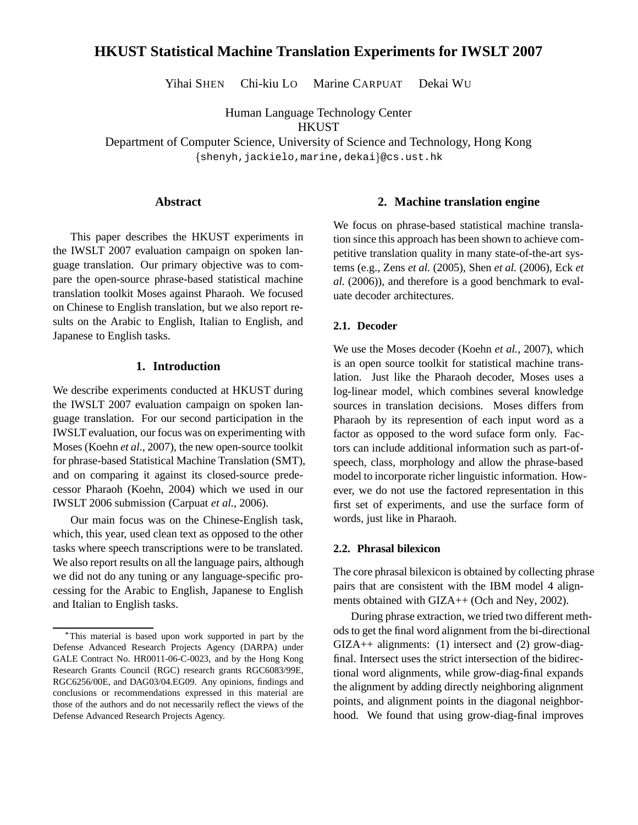# **HKUST Statistical Machine Translation Experiments for IWSLT 2007**

Yihai SHEN Chi-kiu LO Marine CARPUAT Dekai WU

Human Language Technology Center

**HKUST** 

Department of Computer Science, University of Science and Technology, Hong Kong shenyh,jackielo,marine,dekai @cs.ust.hk

#### **Abstract**

This paper describes the HKUST experiments in the IWSLT 2007 evaluation campaign on spoken language translation. Our primary objective was to compare the open-source phrase-based statistical machine translation toolkit Moses against Pharaoh. We focused on Chinese to English translation, but we also report results on the Arabic to English, Italian to English, and Japanese to English tasks.

#### **1. Introduction**

We describe experiments conducted at HKUST during the IWSLT 2007 evaluation campaign on spoken language translation. For our second participation in the IWSLT evaluation, our focus was on experimenting with Moses (Koehn *et al.*, 2007), the new open-source toolkit for phrase-based Statistical Machine Translation (SMT), and on comparing it against its closed-source predecessor Pharaoh (Koehn, 2004) which we used in our IWSLT 2006 submission (Carpuat *et al.*, 2006).

Our main focus was on the Chinese-English task, which, this year, used clean text as opposed to the other tasks where speech transcriptions were to be translated. We also report results on all the language pairs, although we did not do any tuning or any language-specific processing for the Arabic to English, Japanese to English and Italian to English tasks.

#### **2. Machine translation engine**

We focus on phrase-based statistical machine translation since this approach has been shown to achieve competitive translation quality in many state-of-the-art systems (e.g., Zens *et al.* (2005), Shen *et al.* (2006), Eck *et al.* (2006)), and therefore is a good benchmark to evaluate decoder architectures.

### **2.1. Decoder**

We use the Moses decoder (Koehn *et al.*, 2007), which is an open source toolkit for statistical machine translation. Just like the Pharaoh decoder, Moses uses a log-linear model, which combines several knowledge sources in translation decisions. Moses differs from Pharaoh by its represention of each input word as a factor as opposed to the word suface form only. Factors can include additional information such as part-ofspeech, class, morphology and allow the phrase-based model to incorporate richer linguistic information. However, we do not use the factored representation in this first set of experiments, and use the surface form of words, just like in Pharaoh.

#### **2.2. Phrasal bilexicon**

The core phrasal bilexicon is obtained by collecting phrase pairs that are consistent with the IBM model 4 alignments obtained with GIZA++ (Och and Ney, 2002).

During phrase extraction, we tried two different methods to get the final word alignment from the bi-directional  $GIZA++$  alignments: (1) intersect and (2) grow-diagfinal. Intersect uses the strict intersection of the bidirectional word alignments, while grow-diag-final expands the alignment by adding directly neighboring alignment points, and alignment points in the diagonal neighborhood. We found that using grow-diag-final improves

<sup>-</sup> This material is based upon work supported in part by the Defense Advanced Research Projects Agency (DARPA) under GALE Contract No. HR0011-06-C-0023, and by the Hong Kong Research Grants Council (RGC) research grants RGC6083/99E, RGC6256/00E, and DAG03/04.EG09. Any opinions, findings and conclusions or recommendations expressed in this material are those of the authors and do not necessarily reflect the views of the Defense Advanced Research Projects Agency.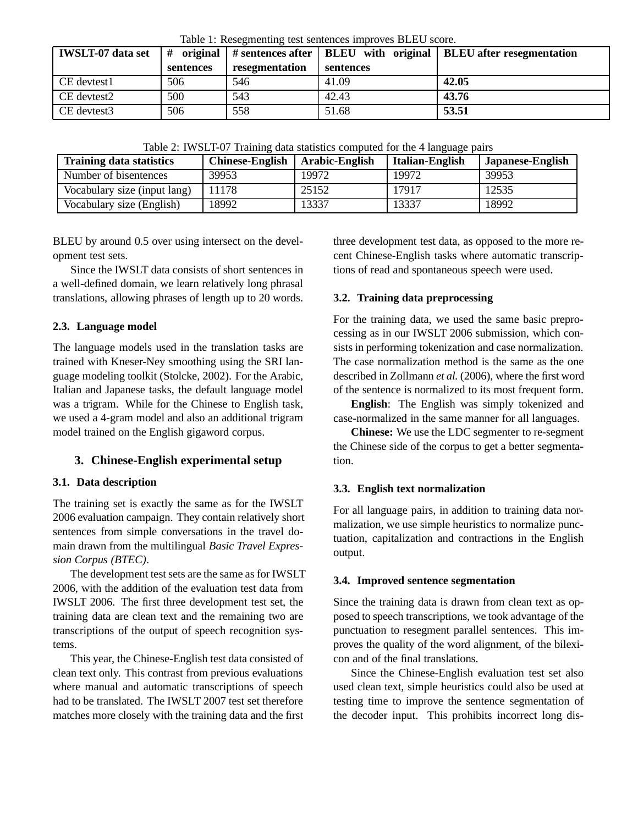| <b>IWSLT-07</b> data set | #<br>sentences | resegmentation | sentences | original $\vert$ # sentences after $\vert$ BLEU with original $\vert$ BLEU after resegmentation |
|--------------------------|----------------|----------------|-----------|-------------------------------------------------------------------------------------------------|
| CE devtest1              | 506            | 546            | 41.09     | 42.05                                                                                           |
| CE devtest2              | 500            | 543            | 42.43     | 43.76                                                                                           |
| CE devtest3              | 506            | 558            | 51.68     | 53.51                                                                                           |

Table 1: Resegmenting test sentences improves BLEU score.

Table 2: IWSLT-07 Training data statistics computed for the 4 language pairs

| TWO IS THE DISTRIBUTION OF A CONTROLLED VOILED WAS TOT THE HOMEOWED DWILD |                        |                |                        |                  |  |  |  |  |
|---------------------------------------------------------------------------|------------------------|----------------|------------------------|------------------|--|--|--|--|
| <b>Training data statistics</b>                                           | <b>Chinese-English</b> | Arabic-English | <b>Italian-English</b> | Japanese-English |  |  |  |  |
| Number of bisentences                                                     | 39953                  | 19972          | 19972                  | 39953            |  |  |  |  |
| Vocabulary size (input lang)                                              | 11178                  | 25152          | 17917                  | 12535            |  |  |  |  |
| Vocabulary size (English)                                                 | 18992                  | 13337          | 13337                  | 18992            |  |  |  |  |

BLEU by around 0.5 over using intersect on the development test sets.

Since the IWSLT data consists of short sentences in a well-defined domain, we learn relatively long phrasal translations, allowing phrases of length up to 20 words.

### **2.3. Language model**

The language models used in the translation tasks are trained with Kneser-Ney smoothing using the SRI language modeling toolkit (Stolcke, 2002). For the Arabic, Italian and Japanese tasks, the default language model was a trigram. While for the Chinese to English task, we used a 4-gram model and also an additional trigram model trained on the English gigaword corpus.

# **3. Chinese-English experimental setup**

# **3.1. Data description**

The training set is exactly the same as for the IWSLT 2006 evaluation campaign. They contain relatively short sentences from simple conversations in the travel domain drawn from the multilingual *Basic Travel Expression Corpus (BTEC)*.

The development test sets are the same as for IWSLT 2006, with the addition of the evaluation test data from IWSLT 2006. The first three development test set, the training data are clean text and the remaining two are transcriptions of the output of speech recognition systems.

This year, the Chinese-English test data consisted of clean text only. This contrast from previous evaluations where manual and automatic transcriptions of speech had to be translated. The IWSLT 2007 test set therefore matches more closely with the training data and the first

three development test data, as opposed to the more recent Chinese-English tasks where automatic transcriptions of read and spontaneous speech were used.

# **3.2. Training data preprocessing**

For the training data, we used the same basic preprocessing as in our IWSLT 2006 submission, which consists in performing tokenization and case normalization. The case normalization method is the same as the one described in Zollmann *et al.* (2006), where the first word of the sentence is normalized to its most frequent form.

**English**: The English was simply tokenized and case-normalized in the same manner for all languages.

**Chinese:** We use the LDC segmenter to re-segment the Chinese side of the corpus to get a better segmentation.

### **3.3. English text normalization**

For all language pairs, in addition to training data normalization, we use simple heuristics to normalize punctuation, capitalization and contractions in the English output.

### **3.4. Improved sentence segmentation**

Since the training data is drawn from clean text as opposed to speech transcriptions, we took advantage of the punctuation to resegment parallel sentences. This improves the quality of the word alignment, of the bilexicon and of the final translations.

Since the Chinese-English evaluation test set also used clean text, simple heuristics could also be used at testing time to improve the sentence segmentation of the decoder input. This prohibits incorrect long dis-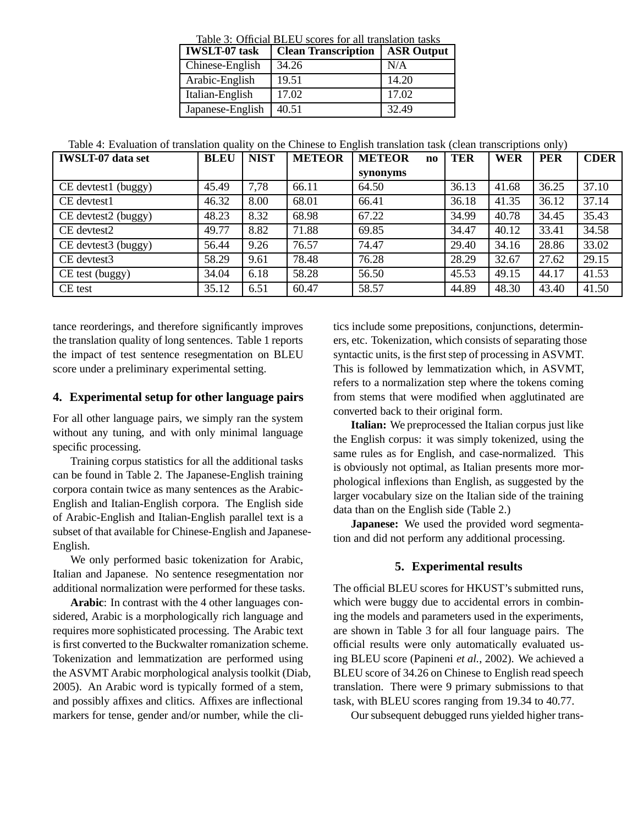| <b>IWSLT-07</b> task | <b>Clean Transcription</b> | <b>ASR Output</b> |
|----------------------|----------------------------|-------------------|
| Chinese-English      | 34.26                      | N/A               |
| Arabic-English       | 19.51                      | 14.20             |
| Italian-English      | 17.02                      | 17.02             |
| Japanese-English     | 40.51                      | 32.49             |

 $T<sub>1</sub>11: 2: O(f<sub>2</sub>1)1 H<sub>1</sub>1$ 

Table 4: Evaluation of translation quality on the Chinese to English translation task (clean transcriptions only)

| <b>IWSLT-07</b> data set | <b>BLEU</b> | <b>NIST</b> | <b>METEOR</b> | <b>METEOR</b><br>$\bf{no}$ | <b>TER</b> | <b>WER</b> | <b>PER</b> | <b>CDER</b> |
|--------------------------|-------------|-------------|---------------|----------------------------|------------|------------|------------|-------------|
|                          |             |             |               | synonyms                   |            |            |            |             |
| CE devtest1 (buggy)      | 45.49       | 7.78        | 66.11         | 64.50                      | 36.13      | 41.68      | 36.25      | 37.10       |
| CE devtest1              | 46.32       | 8.00        | 68.01         | 66.41                      | 36.18      | 41.35      | 36.12      | 37.14       |
| CE devtest2 (buggy)      | 48.23       | 8.32        | 68.98         | 67.22                      | 34.99      | 40.78      | 34.45      | 35.43       |
| CE devtest2              | 49.77       | 8.82        | 71.88         | 69.85                      | 34.47      | 40.12      | 33.41      | 34.58       |
| CE devtest3 (buggy)      | 56.44       | 9.26        | 76.57         | 74.47                      | 29.40      | 34.16      | 28.86      | 33.02       |
| CE devtest3              | 58.29       | 9.61        | 78.48         | 76.28                      | 28.29      | 32.67      | 27.62      | 29.15       |
| CE test (buggy)          | 34.04       | 6.18        | 58.28         | 56.50                      | 45.53      | 49.15      | 44.17      | 41.53       |
| CE test                  | 35.12       | 6.51        | 60.47         | 58.57                      | 44.89      | 48.30      | 43.40      | 41.50       |

tance reorderings, and therefore significantly improves the translation quality of long sentences. Table 1 reports the impact of test sentence resegmentation on BLEU score under a preliminary experimental setting.

### **4. Experimental setup for other language pairs**

For all other language pairs, we simply ran the system without any tuning, and with only minimal language specific processing.

Training corpus statistics for all the additional tasks can be found in Table 2. The Japanese-English training corpora contain twice as many sentences as the Arabic-English and Italian-English corpora. The English side of Arabic-English and Italian-English parallel text is a subset of that available for Chinese-English and Japanese-English.

We only performed basic tokenization for Arabic, Italian and Japanese. No sentence resegmentation nor additional normalization were performed for these tasks.

**Arabic**: In contrast with the 4 other languages considered, Arabic is a morphologically rich language and requires more sophisticated processing. The Arabic text is first converted to the Buckwalter romanization scheme. Tokenization and lemmatization are performed using the ASVMT Arabic morphological analysis toolkit (Diab, 2005). An Arabic word is typically formed of a stem, and possibly affixes and clitics. Affixes are inflectional markers for tense, gender and/or number, while the clitics include some prepositions, conjunctions, determiners, etc. Tokenization, which consists of separating those syntactic units, is the first step of processing in ASVMT. This is followed by lemmatization which, in ASVMT, refers to a normalization step where the tokens coming from stems that were modified when agglutinated are converted back to their original form.

**Italian:** We preprocessed the Italian corpus just like the English corpus: it was simply tokenized, using the same rules as for English, and case-normalized. This is obviously not optimal, as Italian presents more morphological inflexions than English, as suggested by the larger vocabulary size on the Italian side of the training data than on the English side (Table 2.)

**Japanese:** We used the provided word segmentation and did not perform any additional processing.

# **5. Experimental results**

The official BLEU scores for HKUST's submitted runs, which were buggy due to accidental errors in combining the models and parameters used in the experiments, are shown in Table 3 for all four language pairs. The official results were only automatically evaluated using BLEU score (Papineni *et al.*, 2002). We achieved a BLEU score of 34.26 on Chinese to English read speech translation. There were 9 primary submissions to that task, with BLEU scores ranging from 19.34 to 40.77.

Our subsequent debugged runs yielded higher trans-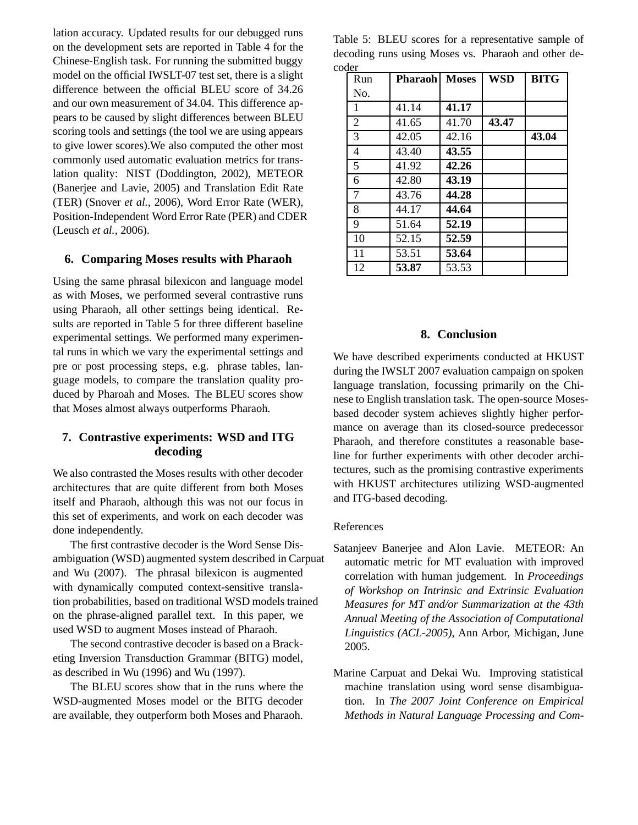lation accuracy. Updated results for our debugged runs on the development sets are reported in Table 4 for the Chinese-English task. For running the submitted buggy model on the official IWSLT-07 test set, there is a slight difference between the official BLEU score of 34.26 and our own measurement of 34.04. This difference appears to be caused by slight differences between BLEU scoring tools and settings (the tool we are using appears to give lower scores).We also computed the other most commonly used automatic evaluation metrics for translation quality: NIST (Doddington, 2002), METEOR (Banerjee and Lavie, 2005) and Translation Edit Rate (TER) (Snover *et al.*, 2006), Word Error Rate (WER), Position-Independent Word Error Rate (PER) and CDER (Leusch *et al.*, 2006).

### **6. Comparing Moses results with Pharaoh**

Using the same phrasal bilexicon and language model as with Moses, we performed several contrastive runs using Pharaoh, all other settings being identical. Results are reported in Table 5 for three different baseline experimental settings. We performed many experimental runs in which we vary the experimental settings and pre or post processing steps, e.g. phrase tables, language models, to compare the translation quality produced by Pharoah and Moses. The BLEU scores show that Moses almost always outperforms Pharaoh.

# **7. Contrastive experiments: WSD and ITG decoding**

We also contrasted the Moses results with other decoder architectures that are quite different from both Moses itself and Pharaoh, although this was not our focus in this set of experiments, and work on each decoder was done independently.

The first contrastive decoder is the Word Sense Disambiguation (WSD) augmented system described in Carpuat and Wu (2007). The phrasal bilexicon is augmented with dynamically computed context-sensitive translation probabilities, based on traditional WSD models trained on the phrase-aligned parallel text. In this paper, we used WSD to augment Moses instead of Pharaoh.

The second contrastive decoder is based on a Bracketing Inversion Transduction Grammar (BITG) model, as described in Wu (1996) and Wu (1997).

The BLEU scores show that in the runs where the WSD-augmented Moses model or the BITG decoder are available, they outperform both Moses and Pharaoh. Table 5: BLEU scores for a representative sample of decoding runs using Moses vs. Pharaoh and other decoder

| Run            | <b>Pharaoh</b> | <b>Moses</b> | WSD   | <b>BITG</b> |
|----------------|----------------|--------------|-------|-------------|
| No.            |                |              |       |             |
| 1              | 41.14          | 41.17        |       |             |
| $\overline{2}$ | 41.65          | 41.70        | 43.47 |             |
| 3              | 42.05          | 42.16        |       | 43.04       |
| 4              | 43.40          | 43.55        |       |             |
| 5              | 41.92          | 42.26        |       |             |
| 6              | 42.80          | 43.19        |       |             |
| 7              | 43.76          | 44.28        |       |             |
| 8              | 44.17          | 44.64        |       |             |
| 9              | 51.64          | 52.19        |       |             |
| 10             | 52.15          | 52.59        |       |             |
| 11             | 53.51          | 53.64        |       |             |
| 12             | 53.87          | 53.53        |       |             |

### **8. Conclusion**

We have described experiments conducted at HKUST during the IWSLT 2007 evaluation campaign on spoken language translation, focussing primarily on the Chinese to English translation task. The open-source Mosesbased decoder system achieves slightly higher performance on average than its closed-source predecessor Pharaoh, and therefore constitutes a reasonable baseline for further experiments with other decoder architectures, such as the promising contrastive experiments with HKUST architectures utilizing WSD-augmented and ITG-based decoding.

#### References

- Satanjeev Banerjee and Alon Lavie. METEOR: An automatic metric for MT evaluation with improved correlation with human judgement. In *Proceedings of Workshop on Intrinsic and Extrinsic Evaluation Measures for MT and/or Summarization at the 43th Annual Meeting of the Association of Computational Linguistics (ACL-2005)*, Ann Arbor, Michigan, June 2005.
- Marine Carpuat and Dekai Wu. Improving statistical machine translation using word sense disambiguation. In *The 2007 Joint Conference on Empirical Methods in Natural Language Processing and Com-*